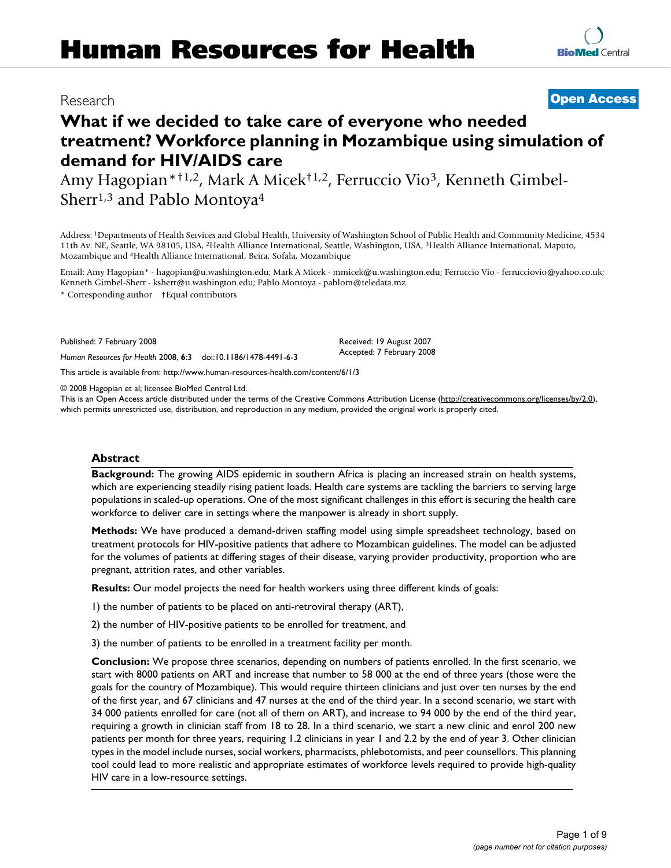# **Human Resources for Health**

## **What if we decided to take care of everyone who needed treatment? Workforce planning in Mozambique using simulation of demand for HIV/AIDS care**

Amy Hagopian\*†1,2, Mark A Micek†1,2, Ferruccio Vio3, Kenneth Gimbel-Sherr<sup>1,3</sup> and Pablo Montoya<sup>4</sup>

Address: 1Departments of Health Services and Global Health, University of Washington School of Public Health and Community Medicine, 4534 11th Av. NE, Seattle, WA 98105, USA, 2Health Alliance International, Seattle, Washington, USA, 3Health Alliance International, Maputo, Mozambique and 4Health Alliance International, Beira, Sofala, Mozambique

Email: Amy Hagopian\* - hagopian@u.washington.edu; Mark A Micek - mmicek@u.washington.edu; Ferruccio Vio - ferrucciovio@yahoo.co.uk; Kenneth Gimbel-Sherr - ksherr@u.washington.edu; Pablo Montoya - pablom@teledata.mz

> Received: 19 August 2007 Accepted: 7 February 2008

\* Corresponding author †Equal contributors

Published: 7 February 2008

*Human Resources for Health* 2008, **6**:3 doi:10.1186/1478-4491-6-3

[This article is available from: http://www.human-resources-health.com/content/6/1/3](http://www.human-resources-health.com/content/6/1/3)

© 2008 Hagopian et al; licensee BioMed Central Ltd.

This is an Open Access article distributed under the terms of the Creative Commons Attribution License [\(http://creativecommons.org/licenses/by/2.0\)](http://creativecommons.org/licenses/by/2.0), which permits unrestricted use, distribution, and reproduction in any medium, provided the original work is properly cited.

#### **Abstract**

**Background:** The growing AIDS epidemic in southern Africa is placing an increased strain on health systems, which are experiencing steadily rising patient loads. Health care systems are tackling the barriers to serving large populations in scaled-up operations. One of the most significant challenges in this effort is securing the health care workforce to deliver care in settings where the manpower is already in short supply.

**Methods:** We have produced a demand-driven staffing model using simple spreadsheet technology, based on treatment protocols for HIV-positive patients that adhere to Mozambican guidelines. The model can be adjusted for the volumes of patients at differing stages of their disease, varying provider productivity, proportion who are pregnant, attrition rates, and other variables.

**Results:** Our model projects the need for health workers using three different kinds of goals:

1) the number of patients to be placed on anti-retroviral therapy (ART),

2) the number of HIV-positive patients to be enrolled for treatment, and

3) the number of patients to be enrolled in a treatment facility per month.

**Conclusion:** We propose three scenarios, depending on numbers of patients enrolled. In the first scenario, we start with 8000 patients on ART and increase that number to 58 000 at the end of three years (those were the goals for the country of Mozambique). This would require thirteen clinicians and just over ten nurses by the end of the first year, and 67 clinicians and 47 nurses at the end of the third year. In a second scenario, we start with 34 000 patients enrolled for care (not all of them on ART), and increase to 94 000 by the end of the third year, requiring a growth in clinician staff from 18 to 28. In a third scenario, we start a new clinic and enrol 200 new patients per month for three years, requiring 1.2 clinicians in year 1 and 2.2 by the end of year 3. Other clinician types in the model include nurses, social workers, pharmacists, phlebotomists, and peer counsellors. This planning tool could lead to more realistic and appropriate estimates of workforce levels required to provide high-quality HIV care in a low-resource settings.

**[BioMed](http://www.biomedcentral.com/)** Central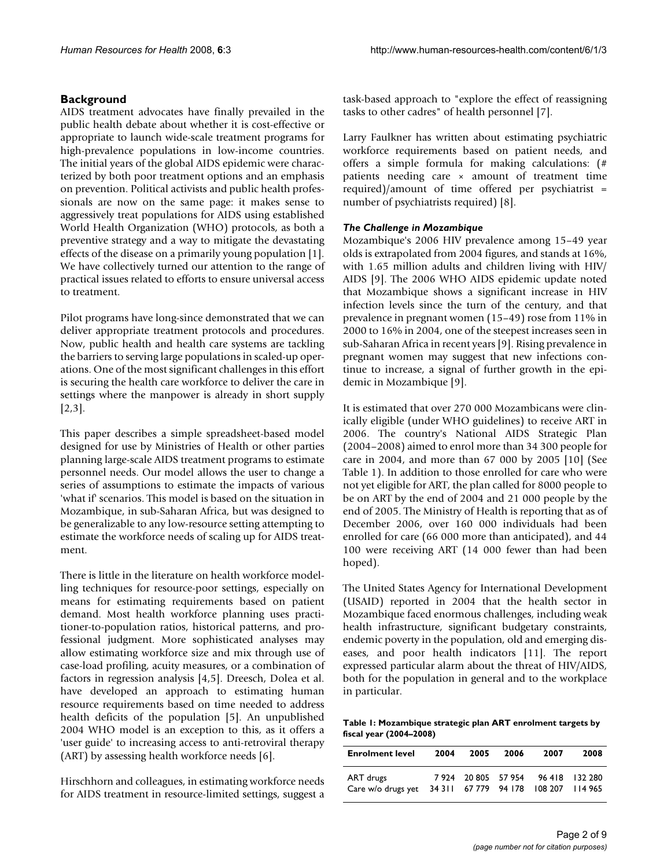#### **Background**

AIDS treatment advocates have finally prevailed in the public health debate about whether it is cost-effective or appropriate to launch wide-scale treatment programs for high-prevalence populations in low-income countries. The initial years of the global AIDS epidemic were characterized by both poor treatment options and an emphasis on prevention. Political activists and public health professionals are now on the same page: it makes sense to aggressively treat populations for AIDS using established World Health Organization (WHO) protocols, as both a preventive strategy and a way to mitigate the devastating effects of the disease on a primarily young population [1]. We have collectively turned our attention to the range of practical issues related to efforts to ensure universal access to treatment.

Pilot programs have long-since demonstrated that we can deliver appropriate treatment protocols and procedures. Now, public health and health care systems are tackling the barriers to serving large populations in scaled-up operations. One of the most significant challenges in this effort is securing the health care workforce to deliver the care in settings where the manpower is already in short supply [2,3].

This paper describes a simple spreadsheet-based model designed for use by Ministries of Health or other parties planning large-scale AIDS treatment programs to estimate personnel needs. Our model allows the user to change a series of assumptions to estimate the impacts of various 'what if' scenarios. This model is based on the situation in Mozambique, in sub-Saharan Africa, but was designed to be generalizable to any low-resource setting attempting to estimate the workforce needs of scaling up for AIDS treatment.

There is little in the literature on health workforce modelling techniques for resource-poor settings, especially on means for estimating requirements based on patient demand. Most health workforce planning uses practitioner-to-population ratios, historical patterns, and professional judgment. More sophisticated analyses may allow estimating workforce size and mix through use of case-load profiling, acuity measures, or a combination of factors in regression analysis [4,5]. Dreesch, Dolea et al. have developed an approach to estimating human resource requirements based on time needed to address health deficits of the population [5]. An unpublished 2004 WHO model is an exception to this, as it offers a 'user guide' to increasing access to anti-retroviral therapy (ART) by assessing health workforce needs [6].

Hirschhorn and colleagues, in estimating workforce needs for AIDS treatment in resource-limited settings, suggest a

task-based approach to "explore the effect of reassigning tasks to other cadres" of health personnel [7].

Larry Faulkner has written about estimating psychiatric workforce requirements based on patient needs, and offers a simple formula for making calculations: (# patients needing care × amount of treatment time required)/amount of time offered per psychiatrist = number of psychiatrists required) [8].

#### *The Challenge in Mozambique*

Mozambique's 2006 HIV prevalence among 15–49 year olds is extrapolated from 2004 figures, and stands at 16%, with 1.65 million adults and children living with HIV/ AIDS [9]. The 2006 WHO AIDS epidemic update noted that Mozambique shows a significant increase in HIV infection levels since the turn of the century, and that prevalence in pregnant women (15–49) rose from 11% in 2000 to 16% in 2004, one of the steepest increases seen in sub-Saharan Africa in recent years [9]. Rising prevalence in pregnant women may suggest that new infections continue to increase, a signal of further growth in the epidemic in Mozambique [9].

It is estimated that over 270 000 Mozambicans were clinically eligible (under WHO guidelines) to receive ART in 2006. The country's National AIDS Strategic Plan (2004–2008) aimed to enrol more than 34 300 people for care in 2004, and more than 67 000 by 2005 [10] (See Table 1). In addition to those enrolled for care who were not yet eligible for ART, the plan called for 8000 people to be on ART by the end of 2004 and 21 000 people by the end of 2005. The Ministry of Health is reporting that as of December 2006, over 160 000 individuals had been enrolled for care (66 000 more than anticipated), and 44 100 were receiving ART (14 000 fewer than had been hoped).

The United States Agency for International Development (USAID) reported in 2004 that the health sector in Mozambique faced enormous challenges, including weak health infrastructure, significant budgetary constraints, endemic poverty in the population, old and emerging diseases, and poor health indicators [11]. The report expressed particular alarm about the threat of HIV/AIDS, both for the population in general and to the workplace in particular.

**Table 1: Mozambique strategic plan ART enrolment targets by fiscal year (2004–2008)**

| <b>Enrolment level</b>                                               | 2004 | 2005 | -2006 | 2007                          | 2008 |
|----------------------------------------------------------------------|------|------|-------|-------------------------------|------|
| ART drugs<br>Care w/o drugs yet 34 311 67 779 94 178 108 207 114 965 |      |      |       | 7924 20805 57954 96418 132280 |      |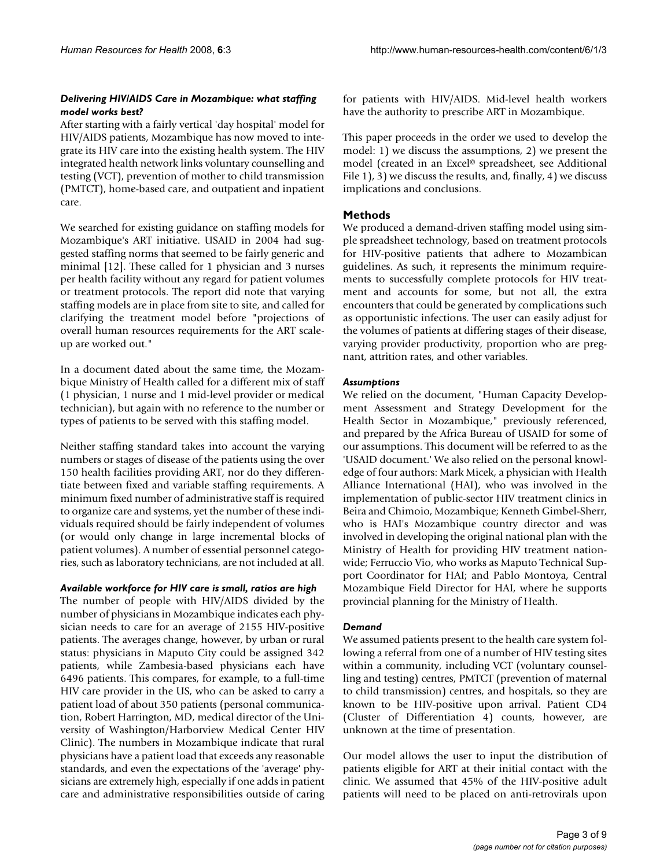### *Delivering HIV/AIDS Care in Mozambique: what staffing model works best?*

After starting with a fairly vertical 'day hospital' model for HIV/AIDS patients, Mozambique has now moved to integrate its HIV care into the existing health system. The HIV integrated health network links voluntary counselling and testing (VCT), prevention of mother to child transmission (PMTCT), home-based care, and outpatient and inpatient care.

We searched for existing guidance on staffing models for Mozambique's ART initiative. USAID in 2004 had suggested staffing norms that seemed to be fairly generic and minimal [12]. These called for 1 physician and 3 nurses per health facility without any regard for patient volumes or treatment protocols. The report did note that varying staffing models are in place from site to site, and called for clarifying the treatment model before "projections of overall human resources requirements for the ART scaleup are worked out."

In a document dated about the same time, the Mozambique Ministry of Health called for a different mix of staff (1 physician, 1 nurse and 1 mid-level provider or medical technician), but again with no reference to the number or types of patients to be served with this staffing model.

Neither staffing standard takes into account the varying numbers or stages of disease of the patients using the over 150 health facilities providing ART, nor do they differentiate between fixed and variable staffing requirements. A minimum fixed number of administrative staff is required to organize care and systems, yet the number of these individuals required should be fairly independent of volumes (or would only change in large incremental blocks of patient volumes). A number of essential personnel categories, such as laboratory technicians, are not included at all.

#### *Available workforce for HIV care is small, ratios are high*

The number of people with HIV/AIDS divided by the number of physicians in Mozambique indicates each physician needs to care for an average of 2155 HIV-positive patients. The averages change, however, by urban or rural status: physicians in Maputo City could be assigned 342 patients, while Zambesia-based physicians each have 6496 patients. This compares, for example, to a full-time HIV care provider in the US, who can be asked to carry a patient load of about 350 patients (personal communication, Robert Harrington, MD, medical director of the University of Washington/Harborview Medical Center HIV Clinic). The numbers in Mozambique indicate that rural physicians have a patient load that exceeds any reasonable standards, and even the expectations of the 'average' physicians are extremely high, especially if one adds in patient care and administrative responsibilities outside of caring

for patients with HIV/AIDS. Mid-level health workers have the authority to prescribe ART in Mozambique.

This paper proceeds in the order we used to develop the model: 1) we discuss the assumptions, 2) we present the model (created in an Excel© spreadsheet, see Additional File 1), 3) we discuss the results, and, finally, 4) we discuss implications and conclusions.

#### **Methods**

We produced a demand-driven staffing model using simple spreadsheet technology, based on treatment protocols for HIV-positive patients that adhere to Mozambican guidelines. As such, it represents the minimum requirements to successfully complete protocols for HIV treatment and accounts for some, but not all, the extra encounters that could be generated by complications such as opportunistic infections. The user can easily adjust for the volumes of patients at differing stages of their disease, varying provider productivity, proportion who are pregnant, attrition rates, and other variables.

#### *Assumptions*

We relied on the document, "Human Capacity Development Assessment and Strategy Development for the Health Sector in Mozambique," previously referenced, and prepared by the Africa Bureau of USAID for some of our assumptions. This document will be referred to as the 'USAID document.' We also relied on the personal knowledge of four authors: Mark Micek, a physician with Health Alliance International (HAI), who was involved in the implementation of public-sector HIV treatment clinics in Beira and Chimoio, Mozambique; Kenneth Gimbel-Sherr, who is HAI's Mozambique country director and was involved in developing the original national plan with the Ministry of Health for providing HIV treatment nationwide; Ferruccio Vio, who works as Maputo Technical Support Coordinator for HAI; and Pablo Montoya, Central Mozambique Field Director for HAI, where he supports provincial planning for the Ministry of Health.

#### *Demand*

We assumed patients present to the health care system following a referral from one of a number of HIV testing sites within a community, including VCT (voluntary counselling and testing) centres, PMTCT (prevention of maternal to child transmission) centres, and hospitals, so they are known to be HIV-positive upon arrival. Patient CD4 (Cluster of Differentiation 4) counts, however, are unknown at the time of presentation.

Our model allows the user to input the distribution of patients eligible for ART at their initial contact with the clinic. We assumed that 45% of the HIV-positive adult patients will need to be placed on anti-retrovirals upon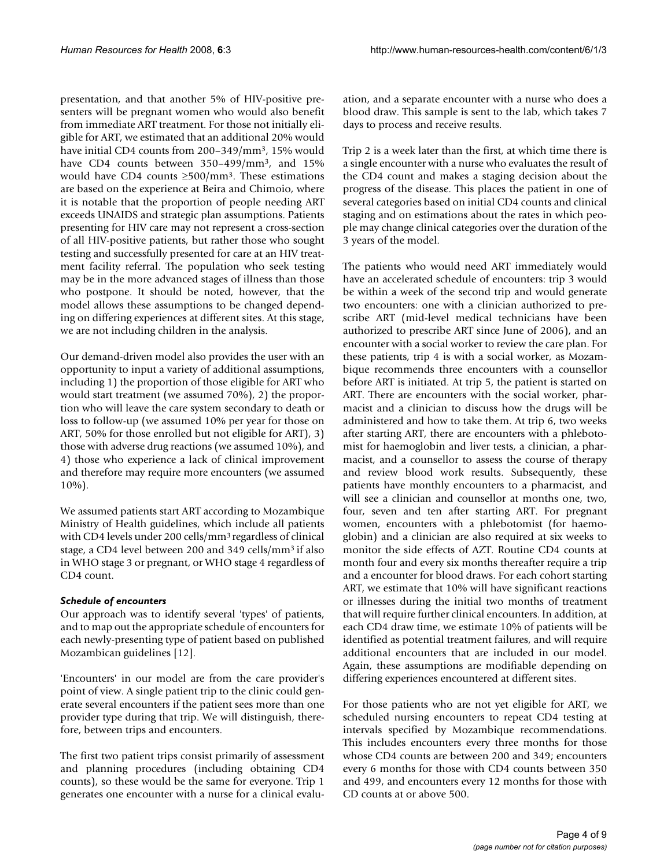presentation, and that another 5% of HIV-positive presenters will be pregnant women who would also benefit from immediate ART treatment. For those not initially eligible for ART, we estimated that an additional 20% would have initial CD4 counts from 200-349/mm<sup>3</sup>, 15% would have CD4 counts between 350-499/mm<sup>3</sup>, and 15% would have CD4 counts ≥500/mm3. These estimations are based on the experience at Beira and Chimoio, where it is notable that the proportion of people needing ART exceeds UNAIDS and strategic plan assumptions. Patients presenting for HIV care may not represent a cross-section of all HIV-positive patients, but rather those who sought testing and successfully presented for care at an HIV treatment facility referral. The population who seek testing may be in the more advanced stages of illness than those who postpone. It should be noted, however, that the model allows these assumptions to be changed depending on differing experiences at different sites. At this stage, we are not including children in the analysis.

Our demand-driven model also provides the user with an opportunity to input a variety of additional assumptions, including 1) the proportion of those eligible for ART who would start treatment (we assumed 70%), 2) the proportion who will leave the care system secondary to death or loss to follow-up (we assumed 10% per year for those on ART, 50% for those enrolled but not eligible for ART), 3) those with adverse drug reactions (we assumed 10%), and 4) those who experience a lack of clinical improvement and therefore may require more encounters (we assumed 10%).

We assumed patients start ART according to Mozambique Ministry of Health guidelines, which include all patients with CD4 levels under 200 cells/mm3 regardless of clinical stage, a CD4 level between 200 and 349 cells/mm3 if also in WHO stage 3 or pregnant, or WHO stage 4 regardless of CD4 count.

#### *Schedule of encounters*

Our approach was to identify several 'types' of patients, and to map out the appropriate schedule of encounters for each newly-presenting type of patient based on published Mozambican guidelines [12].

'Encounters' in our model are from the care provider's point of view. A single patient trip to the clinic could generate several encounters if the patient sees more than one provider type during that trip. We will distinguish, therefore, between trips and encounters.

The first two patient trips consist primarily of assessment and planning procedures (including obtaining CD4 counts), so these would be the same for everyone. Trip 1 generates one encounter with a nurse for a clinical evaluation, and a separate encounter with a nurse who does a blood draw. This sample is sent to the lab, which takes 7 days to process and receive results.

Trip 2 is a week later than the first, at which time there is a single encounter with a nurse who evaluates the result of the CD4 count and makes a staging decision about the progress of the disease. This places the patient in one of several categories based on initial CD4 counts and clinical staging and on estimations about the rates in which people may change clinical categories over the duration of the 3 years of the model.

The patients who would need ART immediately would have an accelerated schedule of encounters: trip 3 would be within a week of the second trip and would generate two encounters: one with a clinician authorized to prescribe ART (mid-level medical technicians have been authorized to prescribe ART since June of 2006), and an encounter with a social worker to review the care plan. For these patients, trip 4 is with a social worker, as Mozambique recommends three encounters with a counsellor before ART is initiated. At trip 5, the patient is started on ART. There are encounters with the social worker, pharmacist and a clinician to discuss how the drugs will be administered and how to take them. At trip 6, two weeks after starting ART, there are encounters with a phlebotomist for haemoglobin and liver tests, a clinician, a pharmacist, and a counsellor to assess the course of therapy and review blood work results. Subsequently, these patients have monthly encounters to a pharmacist, and will see a clinician and counsellor at months one, two, four, seven and ten after starting ART. For pregnant women, encounters with a phlebotomist (for haemoglobin) and a clinician are also required at six weeks to monitor the side effects of AZT. Routine CD4 counts at month four and every six months thereafter require a trip and a encounter for blood draws. For each cohort starting ART, we estimate that 10% will have significant reactions or illnesses during the initial two months of treatment that will require further clinical encounters. In addition, at each CD4 draw time, we estimate 10% of patients will be identified as potential treatment failures, and will require additional encounters that are included in our model. Again, these assumptions are modifiable depending on differing experiences encountered at different sites.

For those patients who are not yet eligible for ART, we scheduled nursing encounters to repeat CD4 testing at intervals specified by Mozambique recommendations. This includes encounters every three months for those whose CD4 counts are between 200 and 349; encounters every 6 months for those with CD4 counts between 350 and 499, and encounters every 12 months for those with CD counts at or above 500.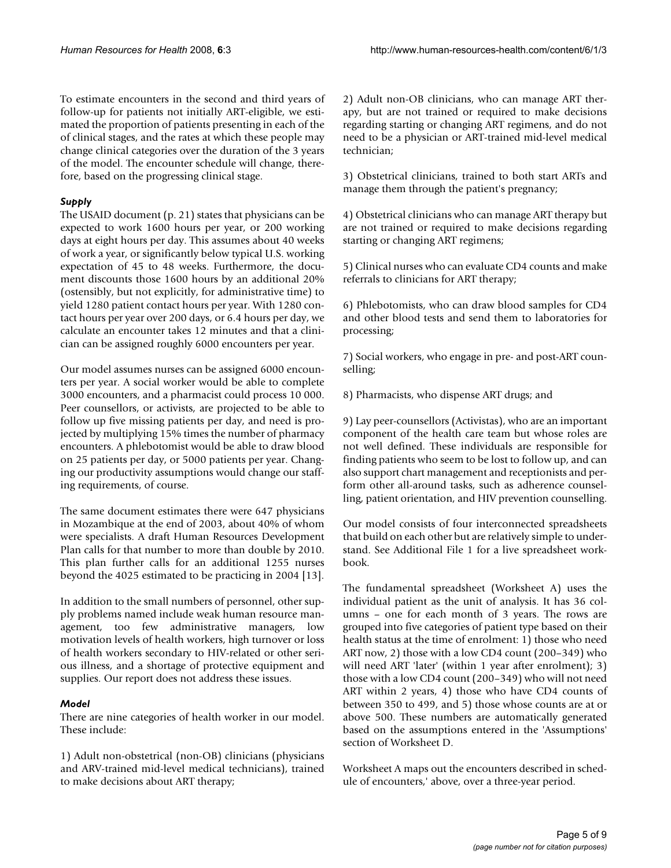To estimate encounters in the second and third years of follow-up for patients not initially ART-eligible, we estimated the proportion of patients presenting in each of the of clinical stages, and the rates at which these people may change clinical categories over the duration of the 3 years of the model. The encounter schedule will change, therefore, based on the progressing clinical stage.

#### *Supply*

The USAID document (p. 21) states that physicians can be expected to work 1600 hours per year, or 200 working days at eight hours per day. This assumes about 40 weeks of work a year, or significantly below typical U.S. working expectation of 45 to 48 weeks. Furthermore, the document discounts those 1600 hours by an additional 20% (ostensibly, but not explicitly, for administrative time) to yield 1280 patient contact hours per year. With 1280 contact hours per year over 200 days, or 6.4 hours per day, we calculate an encounter takes 12 minutes and that a clinician can be assigned roughly 6000 encounters per year.

Our model assumes nurses can be assigned 6000 encounters per year. A social worker would be able to complete 3000 encounters, and a pharmacist could process 10 000. Peer counsellors, or activists, are projected to be able to follow up five missing patients per day, and need is projected by multiplying 15% times the number of pharmacy encounters. A phlebotomist would be able to draw blood on 25 patients per day, or 5000 patients per year. Changing our productivity assumptions would change our staffing requirements, of course.

The same document estimates there were 647 physicians in Mozambique at the end of 2003, about 40% of whom were specialists. A draft Human Resources Development Plan calls for that number to more than double by 2010. This plan further calls for an additional 1255 nurses beyond the 4025 estimated to be practicing in 2004 [13].

In addition to the small numbers of personnel, other supply problems named include weak human resource management, too few administrative managers, low motivation levels of health workers, high turnover or loss of health workers secondary to HIV-related or other serious illness, and a shortage of protective equipment and supplies. Our report does not address these issues.

#### *Model*

There are nine categories of health worker in our model. These include:

1) Adult non-obstetrical (non-OB) clinicians (physicians and ARV-trained mid-level medical technicians), trained to make decisions about ART therapy;

2) Adult non-OB clinicians, who can manage ART therapy, but are not trained or required to make decisions regarding starting or changing ART regimens, and do not need to be a physician or ART-trained mid-level medical technician;

3) Obstetrical clinicians, trained to both start ARTs and manage them through the patient's pregnancy;

4) Obstetrical clinicians who can manage ART therapy but are not trained or required to make decisions regarding starting or changing ART regimens;

5) Clinical nurses who can evaluate CD4 counts and make referrals to clinicians for ART therapy;

6) Phlebotomists, who can draw blood samples for CD4 and other blood tests and send them to laboratories for processing;

7) Social workers, who engage in pre- and post-ART counselling;

8) Pharmacists, who dispense ART drugs; and

9) Lay peer-counsellors (Activistas), who are an important component of the health care team but whose roles are not well defined. These individuals are responsible for finding patients who seem to be lost to follow up, and can also support chart management and receptionists and perform other all-around tasks, such as adherence counselling, patient orientation, and HIV prevention counselling.

Our model consists of four interconnected spreadsheets that build on each other but are relatively simple to understand. See Additional File 1 for a live spreadsheet workbook.

The fundamental spreadsheet (Worksheet A) uses the individual patient as the unit of analysis. It has 36 columns – one for each month of 3 years. The rows are grouped into five categories of patient type based on their health status at the time of enrolment: 1) those who need ART now, 2) those with a low CD4 count (200–349) who will need ART 'later' (within 1 year after enrolment); 3) those with a low CD4 count (200–349) who will not need ART within 2 years, 4) those who have CD4 counts of between 350 to 499, and 5) those whose counts are at or above 500. These numbers are automatically generated based on the assumptions entered in the 'Assumptions' section of Worksheet D.

Worksheet A maps out the encounters described in schedule of encounters,' above, over a three-year period.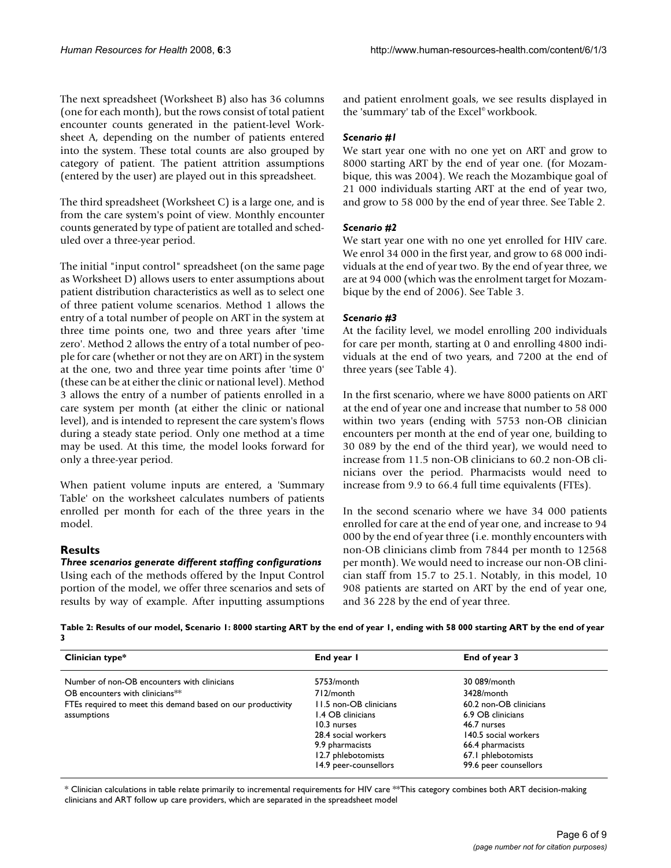The next spreadsheet (Worksheet B) also has 36 columns (one for each month), but the rows consist of total patient encounter counts generated in the patient-level Worksheet A, depending on the number of patients entered into the system. These total counts are also grouped by category of patient. The patient attrition assumptions (entered by the user) are played out in this spreadsheet.

The third spreadsheet (Worksheet C) is a large one, and is from the care system's point of view. Monthly encounter counts generated by type of patient are totalled and scheduled over a three-year period.

The initial "input control" spreadsheet (on the same page as Worksheet D) allows users to enter assumptions about patient distribution characteristics as well as to select one of three patient volume scenarios. Method 1 allows the entry of a total number of people on ART in the system at three time points one, two and three years after 'time zero'. Method 2 allows the entry of a total number of people for care (whether or not they are on ART) in the system at the one, two and three year time points after 'time 0' (these can be at either the clinic or national level). Method 3 allows the entry of a number of patients enrolled in a care system per month (at either the clinic or national level), and is intended to represent the care system's flows during a steady state period. Only one method at a time may be used. At this time, the model looks forward for only a three-year period.

When patient volume inputs are entered, a 'Summary Table' on the worksheet calculates numbers of patients enrolled per month for each of the three years in the model.

#### **Results**

#### *Three scenarios generate different staffing configurations*

Using each of the methods offered by the Input Control portion of the model, we offer three scenarios and sets of results by way of example. After inputting assumptions and patient enrolment goals, we see results displayed in the 'summary' tab of the Excel© workbook.

#### *Scenario #1*

We start year one with no one yet on ART and grow to 8000 starting ART by the end of year one. (for Mozambique, this was 2004). We reach the Mozambique goal of 21 000 individuals starting ART at the end of year two, and grow to 58 000 by the end of year three. See Table 2.

#### *Scenario #2*

We start year one with no one yet enrolled for HIV care. We enrol 34 000 in the first year, and grow to 68 000 individuals at the end of year two. By the end of year three, we are at 94 000 (which was the enrolment target for Mozambique by the end of 2006). See Table 3.

#### *Scenario #3*

At the facility level, we model enrolling 200 individuals for care per month, starting at 0 and enrolling 4800 individuals at the end of two years, and 7200 at the end of three years (see Table 4).

In the first scenario, where we have 8000 patients on ART at the end of year one and increase that number to 58 000 within two years (ending with 5753 non-OB clinician encounters per month at the end of year one, building to 30 089 by the end of the third year), we would need to increase from 11.5 non-OB clinicians to 60.2 non-OB clinicians over the period. Pharmacists would need to increase from 9.9 to 66.4 full time equivalents (FTEs).

In the second scenario where we have 34 000 patients enrolled for care at the end of year one, and increase to 94 000 by the end of year three (i.e. monthly encounters with non-OB clinicians climb from 7844 per month to 12568 per month). We would need to increase our non-OB clinician staff from 15.7 to 25.1. Notably, in this model, 10 908 patients are started on ART by the end of year one, and 36 228 by the end of year three.

**Table 2: Results of our model, Scenario 1: 8000 starting ART by the end of year 1, ending with 58 000 starting ART by the end of year 3**

| Clinician type*                                                            | End year I                                  | End of year 3                               |
|----------------------------------------------------------------------------|---------------------------------------------|---------------------------------------------|
| Number of non-OB encounters with clinicians                                | 5753/month                                  | 30 089/month                                |
| $OB$ encounters with clinicians <sup>**</sup>                              | 712/month                                   | 3428/month                                  |
| FTEs required to meet this demand based on our productivity<br>assumptions | 11.5 non-OB clinicians<br>1.4 OB clinicians | 60.2 non-OB clinicians<br>6.9 OB clinicians |
|                                                                            | 10.3 nurses                                 | 46.7 nurses                                 |
|                                                                            | 28.4 social workers                         | 140.5 social workers                        |
|                                                                            | 9.9 pharmacists                             | 66.4 pharmacists                            |
|                                                                            | 12.7 phlebotomists                          | 67.1 phlebotomists                          |
|                                                                            | 14.9 peer-counsellors                       | 99.6 peer counsellors                       |

\* Clinician calculations in table relate primarily to incremental requirements for HIV care \*\*This category combines both ART decision-making clinicians and ART follow up care providers, which are separated in the spreadsheet model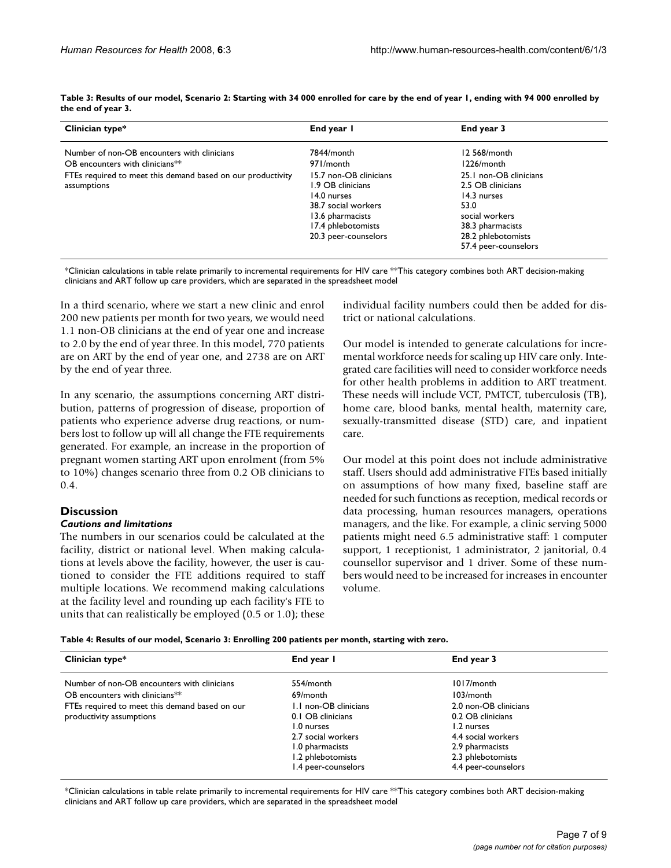| Clinician type*                                             | End year I             | End year 3             |
|-------------------------------------------------------------|------------------------|------------------------|
| Number of non-OB encounters with clinicians                 | 7844/month             | 12 568/month           |
| $OB$ encounters with clinicians <sup>**</sup>               | 971/month              | 1226/month             |
| FTEs required to meet this demand based on our productivity | 15.7 non-OB clinicians | 25.1 non-OB clinicians |
| assumptions                                                 | 1.9 OB clinicians      | 2.5 OB clinicians      |
|                                                             | 14.0 nurses            | 14.3 nurses            |
|                                                             | 38.7 social workers    | 53.0                   |
|                                                             | 13.6 pharmacists       | social workers         |
|                                                             | 17.4 phlebotomists     | 38.3 pharmacists       |
|                                                             | 20.3 peer-counselors   | 28.2 phlebotomists     |
|                                                             |                        | 57.4 peer-counselors   |

**Table 3: Results of our model, Scenario 2: Starting with 34 000 enrolled for care by the end of year 1, ending with 94 000 enrolled by the end of year 3.**

\*Clinician calculations in table relate primarily to incremental requirements for HIV care \*\*This category combines both ART decision-making clinicians and ART follow up care providers, which are separated in the spreadsheet model

In a third scenario, where we start a new clinic and enrol 200 new patients per month for two years, we would need 1.1 non-OB clinicians at the end of year one and increase to 2.0 by the end of year three. In this model, 770 patients are on ART by the end of year one, and 2738 are on ART by the end of year three.

In any scenario, the assumptions concerning ART distribution, patterns of progression of disease, proportion of patients who experience adverse drug reactions, or numbers lost to follow up will all change the FTE requirements generated. For example, an increase in the proportion of pregnant women starting ART upon enrolment (from 5% to 10%) changes scenario three from 0.2 OB clinicians to 0.4.

#### **Discussion**

#### *Cautions and limitations*

The numbers in our scenarios could be calculated at the facility, district or national level. When making calculations at levels above the facility, however, the user is cautioned to consider the FTE additions required to staff multiple locations. We recommend making calculations at the facility level and rounding up each facility's FTE to units that can realistically be employed (0.5 or 1.0); these individual facility numbers could then be added for district or national calculations.

Our model is intended to generate calculations for incremental workforce needs for scaling up HIV care only. Integrated care facilities will need to consider workforce needs for other health problems in addition to ART treatment. These needs will include VCT, PMTCT, tuberculosis (TB), home care, blood banks, mental health, maternity care, sexually-transmitted disease (STD) care, and inpatient care.

Our model at this point does not include administrative staff. Users should add administrative FTEs based initially on assumptions of how many fixed, baseline staff are needed for such functions as reception, medical records or data processing, human resources managers, operations managers, and the like. For example, a clinic serving 5000 patients might need 6.5 administrative staff: 1 computer support, 1 receptionist, 1 administrator, 2 janitorial, 0.4 counsellor supervisor and 1 driver. Some of these numbers would need to be increased for increases in encounter volume.

**Table 4: Results of our model, Scenario 3: Enrolling 200 patients per month, starting with zero.**

| Clinician type*                                | End year I            | End year 3            |
|------------------------------------------------|-----------------------|-----------------------|
|                                                |                       |                       |
| Number of non-OB encounters with clinicians    | 554/month             | $1017/m$ onth         |
| $OB$ encounters with clinicians <sup>**</sup>  | 69/month              | 103/month             |
| FTEs required to meet this demand based on our | 1.1 non-OB clinicians | 2.0 non-OB clinicians |
| productivity assumptions                       | 0.1 OB clinicians     | 0.2 OB clinicians     |
|                                                | 1.0 nurses            | 1.2 nurses            |
|                                                | 2.7 social workers    | 4.4 social workers    |
|                                                | 1.0 pharmacists       | 2.9 pharmacists       |
|                                                | 1.2 phlebotomists     | 2.3 phlebotomists     |
|                                                | 1.4 peer-counselors   | 4.4 peer-counselors   |

\*Clinician calculations in table relate primarily to incremental requirements for HIV care \*\*This category combines both ART decision-making clinicians and ART follow up care providers, which are separated in the spreadsheet model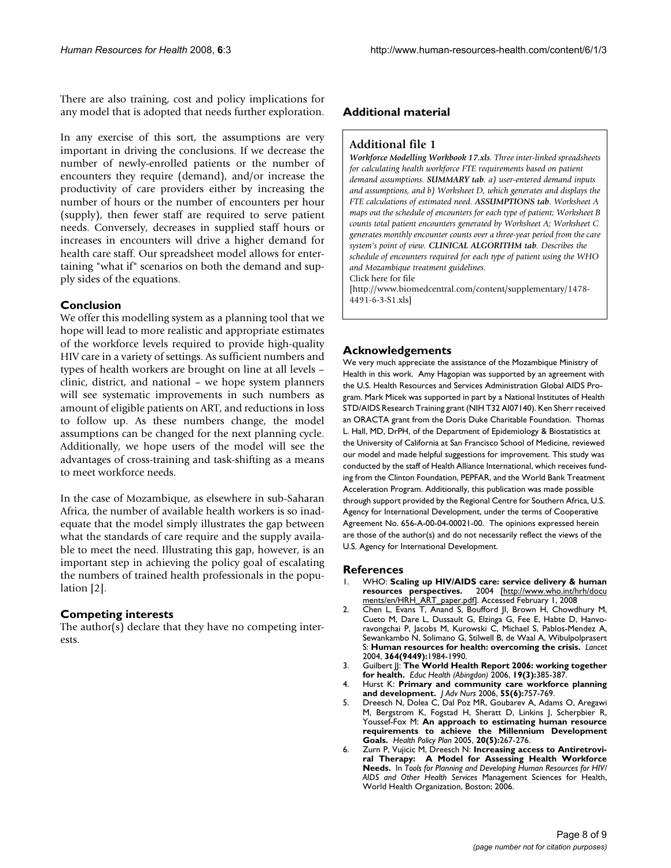There are also training, cost and policy implications for any model that is adopted that needs further exploration.

In any exercise of this sort, the assumptions are very important in driving the conclusions. If we decrease the number of newly-enrolled patients or the number of encounters they require (demand), and/or increase the productivity of care providers either by increasing the number of hours or the number of encounters per hour (supply), then fewer staff are required to serve patient needs. Conversely, decreases in supplied staff hours or increases in encounters will drive a higher demand for health care staff. Our spreadsheet model allows for entertaining "what if" scenarios on both the demand and supply sides of the equations.

#### **Conclusion**

We offer this modelling system as a planning tool that we hope will lead to more realistic and appropriate estimates of the workforce levels required to provide high-quality HIV care in a variety of settings. As sufficient numbers and types of health workers are brought on line at all levels – clinic, district, and national – we hope system planners will see systematic improvements in such numbers as amount of eligible patients on ART, and reductions in loss to follow up. As these numbers change, the model assumptions can be changed for the next planning cycle. Additionally, we hope users of the model will see the advantages of cross-training and task-shifting as a means to meet workforce needs.

In the case of Mozambique, as elsewhere in sub-Saharan Africa, the number of available health workers is so inadequate that the model simply illustrates the gap between what the standards of care require and the supply available to meet the need. Illustrating this gap, however, is an important step in achieving the policy goal of escalating the numbers of trained health professionals in the population [2].

#### **Competing interests**

The author(s) declare that they have no competing interests.

#### **Additional material**

#### **Additional file 1**

*Workforce Modelling Workbook 17.xls. Three inter-linked spreadsheets for calculating health workforce FTE requirements based on patient demand assumptions. SUMMARY tab. a) user-entered demand inputs and assumptions, and b) Worksheet D, which generates and displays the FTE calculations of estimated need. ASSUMPTIONS tab. Worksheet A maps out the schedule of encounters for each type of patient; Worksheet B counts total patient encounters generated by Worksheet A; Worksheet C generates monthly encounter counts over a three-year period from the care system's point of view. CLINICAL ALGORITHM tab. Describes the schedule of encounters required for each type of patient using the WHO and Mozambique treatment guidelines.*

Click here for file

[\[http://www.biomedcentral.com/content/supplementary/1478-](http://www.biomedcentral.com/content/supplementary/1478-4491-6-3-S1.xls) 4491-6-3-S1.xls]

#### **Acknowledgements**

We very much appreciate the assistance of the Mozambique Ministry of Health in this work. Amy Hagopian was supported by an agreement with the U.S. Health Resources and Services Administration Global AIDS Program. Mark Micek was supported in part by a National Institutes of Health STD/AIDS Research Training grant (NIH T32 AI07140). Ken Sherr received an ORACTA grant from the Doris Duke Charitable Foundation. Thomas L. Hall, MD, DrPH, of the Department of Epidemiology & Biostatistics at the University of California at San Francisco School of Medicine, reviewed our model and made helpful suggestions for improvement. This study was conducted by the staff of Health Alliance International, which receives funding from the Clinton Foundation, PEPFAR, and the World Bank Treatment Acceleration Program. Additionally, this publication was made possible through support provided by the Regional Centre for Southern Africa, U.S. Agency for International Development, under the terms of Cooperative Agreement No. 656-A-00-04-00021-00. The opinions expressed herein are those of the author(s) and do not necessarily reflect the views of the U.S. Agency for International Development.

#### **References**

- 1. WHO: **Scaling up HIV/AIDS care: service delivery & human resources perspectives.** 2004 [\[http://www.who.int/hrh/docu](http://www.who.int/hrh/documents/en/HRH_ART_paper.pdf) [ments/en/HRH\\_ART\\_paper.pdf\]](http://www.who.int/hrh/documents/en/HRH_ART_paper.pdf). Accessed February 1, 2008
- 2. Chen L, Evans T, Anand S, Boufford JI, Brown H, Chowdhury M, Cueto M, Dare L, Dussault G, Elzinga G, Fee E, Habte D, Hanvoravongchai P, Jacobs M, Kurowski C, Michael S, Pablos-Mendez A, Sewankambo N, Solimano G, Stilwell B, de Waal A, Wibulpolprasert S: **[Human resources for health: overcoming the crisis.](http://www.ncbi.nlm.nih.gov/entrez/query.fcgi?cmd=Retrieve&db=PubMed&dopt=Abstract&list_uids=15567015)** *Lancet* 2004, **364(9449):**1984-1990.
- 3. Guilbert JJ: **[The World Health Report 2006: working together](http://www.ncbi.nlm.nih.gov/entrez/query.fcgi?cmd=Retrieve&db=PubMed&dopt=Abstract&list_uids=17178522) [for health.](http://www.ncbi.nlm.nih.gov/entrez/query.fcgi?cmd=Retrieve&db=PubMed&dopt=Abstract&list_uids=17178522)** *Educ Health (Abingdon)* 2006, **19(3):**385-387.
- 4. Hurst K: **[Primary and community care workforce planning](http://www.ncbi.nlm.nih.gov/entrez/query.fcgi?cmd=Retrieve&db=PubMed&dopt=Abstract&list_uids=16925624) [and development.](http://www.ncbi.nlm.nih.gov/entrez/query.fcgi?cmd=Retrieve&db=PubMed&dopt=Abstract&list_uids=16925624)** *J Adv Nurs* 2006, **55(6):**757-769.
- 5. Dreesch N, Dolea C, Dal Poz MR, Goubarev A, Adams O, Aregawi M, Bergstrom K, Fogstad H, Sheratt D, Linkins J, Scherpbier R, Youssef-Fox M: **[An approach to estimating human resource](http://www.ncbi.nlm.nih.gov/entrez/query.fcgi?cmd=Retrieve&db=PubMed&dopt=Abstract&list_uids=16076934) [requirements to achieve the Millennium Development](http://www.ncbi.nlm.nih.gov/entrez/query.fcgi?cmd=Retrieve&db=PubMed&dopt=Abstract&list_uids=16076934) [Goals.](http://www.ncbi.nlm.nih.gov/entrez/query.fcgi?cmd=Retrieve&db=PubMed&dopt=Abstract&list_uids=16076934)** *Health Policy Plan* 2005, **20(5):**267-276.
- 6. Zurn P, Vujicic M, Dreesch N: Increasing access to Antiretrovi**ral Therapy: A Model for Assessing Health Workforce Needs.** In *Tools for Planning and Developing Human Resources for HIV/ AIDS and Other Health Services* Management Sciences for Health, World Health Organization, Boston; 2006.